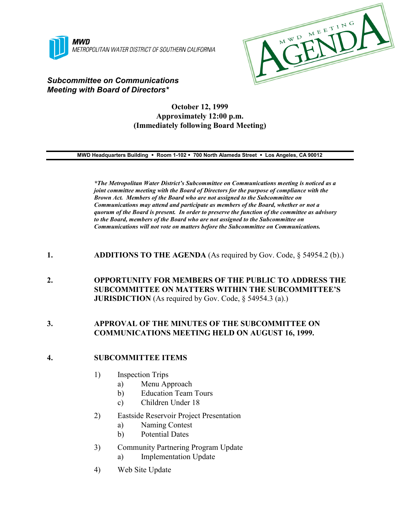



# *Subcommittee on Communications Meeting with Board of Directors\**

## **October 12, 1999 Approximately 12:00 p.m. (Immediately following Board Meeting)**

**MWD Headquarters Building** ! **Room 1-102** ! **700 North Alameda Street** ! **Los Angeles, CA 90012**

*\*The Metropolitan Water District's Subcommittee on Communications meeting is noticed as a joint committee meeting with the Board of Directors for the purpose of compliance with the Brown Act. Members of the Board who are not assigned to the Subcommittee on Communications may attend and participate as members of the Board, whether or not a quorum of the Board is present. In order to preserve the function of the committee as advisory to the Board, members of the Board who are not assigned to the Subcommittee on Communications will not vote on matters before the Subcommittee on Communications.*

## **1. ADDITIONS TO THE AGENDA** (As required by Gov. Code, § 54954.2 (b).)

**2. OPPORTUNITY FOR MEMBERS OF THE PUBLIC TO ADDRESS THE SUBCOMMITTEE ON MATTERS WITHIN THE SUBCOMMITTEE'S JURISDICTION** (As required by Gov. Code, § 54954.3 (a).)

## **3. APPROVAL OF THE MINUTES OF THE SUBCOMMITTEE ON COMMUNICATIONS MEETING HELD ON AUGUST 16, 1999.**

#### **4. SUBCOMMITTEE ITEMS**

- 1) Inspection Trips
	- a) Menu Approach
	- b) Education Team Tours
	- c) Children Under 18
- 2) Eastside Reservoir Project Presentation
	- a) Naming Contest
	- b) Potential Dates
- 3) Community Partnering Program Update
	- a) Implementation Update
- 4) Web Site Update